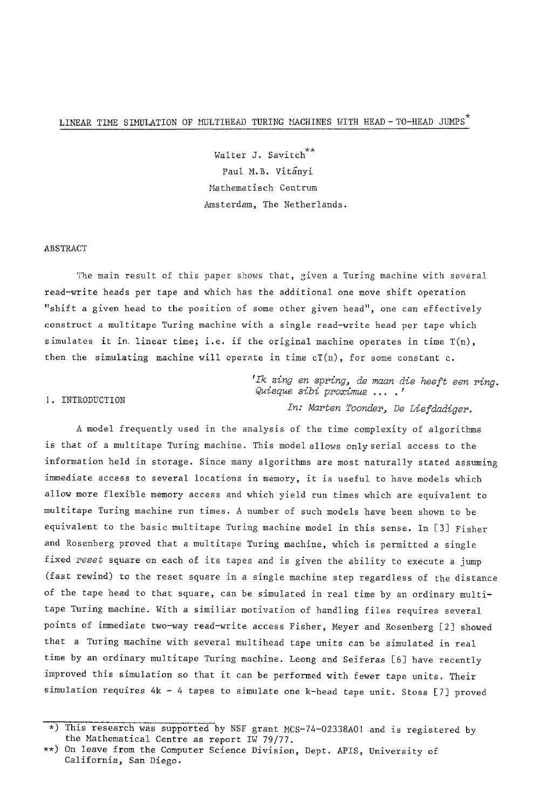# LINEAR TIME SIMULATION OF MULTIHEAD TURING MACHINES WITH HEAD-TO-HEAD JUMPS<sup>\*</sup>

Walter J. Savitch<sup>\*\*</sup> Paul M.B. Vitánvi Mathematisch Centrum Amsterdam, The Netherlands.

#### ABSTRACT

The main result of this paper shows that, given a Turing machine with several read-write heads per tape and which has the additional one move shift operation "shift a given head to the position of some other given head", one can effectively construct a multitape Turing machine with a single read-write head per tape which simulates it in. linear time; i.e. if the original machine operates in time  $T(n)$ , then the simulating machine will operate in time  $cT(n)$ , for some constant  $c$ .

> 'Ik zing en spring, de maan die heeft een ring. Quisque sibi proximus .... In: Marten Toonder, De Liefdadiger.

### I. INTRODUCTION

A model frequently used in the analysis of the time complexity of algorithms is that of a multitape Turing machine. This model allows only serial access to the information held in storage. Since many algorithms are most naturally stated assuming immediate access to several locations in memory, it is useful to have models which allow more flexible memory access and which yield run times which are equivalent to multitape Turing machine run times. A number of such models have been shown to be equivalent to the basic multitape Turing machine model in this sense. In [3] Fisher and Rosenberg proved that a multitape Turing machine, which is permitted a single fixed *reset* square on each of its tapes and is given the ability to execute a jump (fast rewind) to the reset square in a single machine step regardless of the distance of the tape head to that square, can be simulated in real time by an ordinary multitape Turing machine. With a similiar motivation of handling files requires several points of immediate two-way read-write access Fisher, Meyer and Rosenberg [2] showed that a Turing machine with several multihead tape units can be simulated in real time by an ordinary multitape Turing machine. Leong and Seiferas [6] have recently improved this simulation so that it can be performed with fewer tape units. Their simulation requires 4k - 4 tapes to simulate one k-head tape unit. Stoss [7] proved

<sup>\*)</sup> This research was supported by NSF grant MCS-74-02338A0! and is registered by the Mathematical Centre as report IW 79/77.

<sup>\*\*)</sup> On leave from the Computer Science Division, Dept. APIS, University of California, San Diego.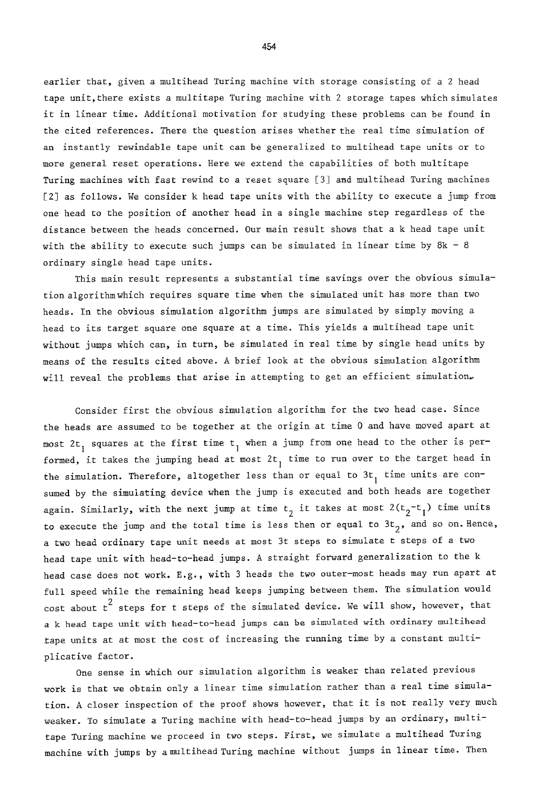earlier that, given a multihead Turing machine with storage consisting of a 2 head tape unit,there exists a multitape Turing machine with 2 storage tapes which simulates it in linear time. Additional motivation for studying these problems can be found in the cited references. There the question arises whether the real time simulation of an instantly rewindable tape unit can be generalized to multihead tape units or to more general reset operations. Here we extend the capabilities of both multitape Turing machines with fast rewind to a reset square [3] and multihead Turing machines [2] as follows. We consider k head tape units with the ability to execute a jump from one head to the position of another head in a single machine step regardless of the distance between the heads concerned. Our main result shows that a k head tape unit with the ability to execute such jumps can be simulated in linear time by 8k - 8 ordinary single head tape units.

This main result represents a substantial time savings over the obvious simulation algorithmwhich requires square time when the simulated unit has more than two heads. In the obvious simulation algorithm jumps are simulated by simply moving a head to its target square one square at a time. This yields a multihead tape unit without jumps which can, in turn, be simulated in real time by single head units by means of the results cited above. A brief look at the obvious simulation algorithm will reveal the problems that arise in attempting to get an efficient simulation.

Consider first the obvious simulation algorithm for the two head case. Since the heads are assumed to be together at the origin at time 0 and have moved apart at most  $2t_1$  squares at the first time  $t_1$  when a jump from one head to the other is performed, it takes the jumping head at most  $2t_1$  time to run over to the target head in the simulation. Therefore, altogether less than or equal to  $3t<sub>1</sub>$  time units are consumed by the simulating device when the jump is executed and both heads are together again. Similarly, with the next jump at time  $t_2$  it takes at most  $2(t_2-t_1)$  time units to execute the jump and the total time is less then or equal to  $3t<sub>2</sub>$ , and so on. Hence, a two head ordinary tape unit needs at most 3t steps to simulate t steps of a two head tape unit with head-to-head jumps. A straight forward generalization to the k head case does not work. E.g., with 3 heads the two outer-most heads may run apart at full speed while the remaining head keeps jumping between them. The simulation would cost about  $t^2$  steps for t steps of the simulated device. We will show, however, that a k head tape unit with head-to-head jumps can be simulated with ordinary multihead tape units at at most the cost of increasing the running time by a constant multiplicative factor.

One sense in which our simulation algorithm is weaker than related previous work is that we obtain only a linear time simulation rather than a real time simulation. A closer inspection of the proof shows however, that it is not really very much weaker. To simulate a Turing machine with head-to-head jumps by an ordinary, multitape Turing machine we proceed in two steps. First, we simulate a multihead Turing machine with jumps by a multihead Turing machine without jumps in linear time. Then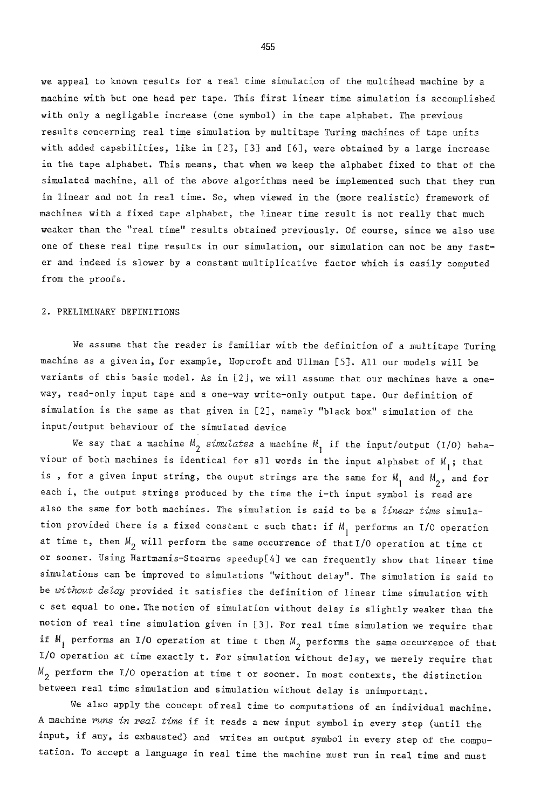we appeal to known results for a real time simulation of the multihead machine by a machine with but one head per tape. This first linear time simulation is accomplished with only a negligable increase (one symbol) in the tape alphabet. The previous results concerning real time simulation by multitape Turing machines of tape units with added capabilities, like in [2], [3] and [6], were obtained by a large increase in the tape alphabet. This means, that when we keep the alphabet fixed to that of the simulated machine, all of the above algorithms need be implemented such that they run in linear and not in real time. So, when viewed in the (more realistic) framework of machines with a fixed tape alphabet, the linear time result is not really that much weaker than the "real time" results obtained previously. Of course, since we also use one of these real time results in our simulation, our simulation can not be any faster and indeed is slower by a constant multiplicative factor which is easily computed from the proofs.

## 2. PRELIMINARY DEFINITIONS

We assume that the reader is familiar with the definition of a multitape Turing machine as a given in, for example, Hopcroft and Ullman [5]. All our models will be variants of this basic model. As in [2], we will assume that our machines have a oneway, read-only input tape and a one-way write-only output tape. Our definition of simulation is the same as that given in [2], namely "black box" simulation of the input/output behaviour of the simulated device

We say that a machine  $M_{2}$  simulates a machine  $M_{1}$  if the input/output (I/O) behaviour of both machines is identical for all words in the input alphabet of  $M_1$ ; that is, for a given input string, the ouput strings are the same for  $M_1$  and  $M_2$ , and for each i, the output strings produced by the time the i-th input symbol is read are also the same for both machines. The simulation is said to be a *linear time* simulation provided there is a fixed constant c such that: if  $M_1$  performs an I/O operation at time t, then  $M_{2}$  will perform the same occurrence of that I/O operation at time ct or sooner. Using Hartmanis-Stearna speedup[4] we can frequently show that linear time simulations can be improved to simulations "without delay". The simulation is said to be *without delay* provided it satisfies the definition of linear time simulation with c set equal to one. The notion of simulation without delay is slightly weaker than the notion of real time simulation given in [3]. For real time simulation we require that if  $M_1$  performs an I/O operation at time t then  $M_2$  performs the same occurrence of that I/O operation at time exactly t. For simulation without delay, we merely require that  $M_{2}$  perform the I/O operation at time t or sooner. In most contexts, the distinction between real time simulation and simulation without delay is unimportant.

We also apply the concept ofreal time to computations of an individual machine. A machine *runs in real time* if it reads a new input symbol in every step (until the input, if any, is exhausted) and writes an output symbol in every step of the computation. To accept a language in real time the machine must run in real time and must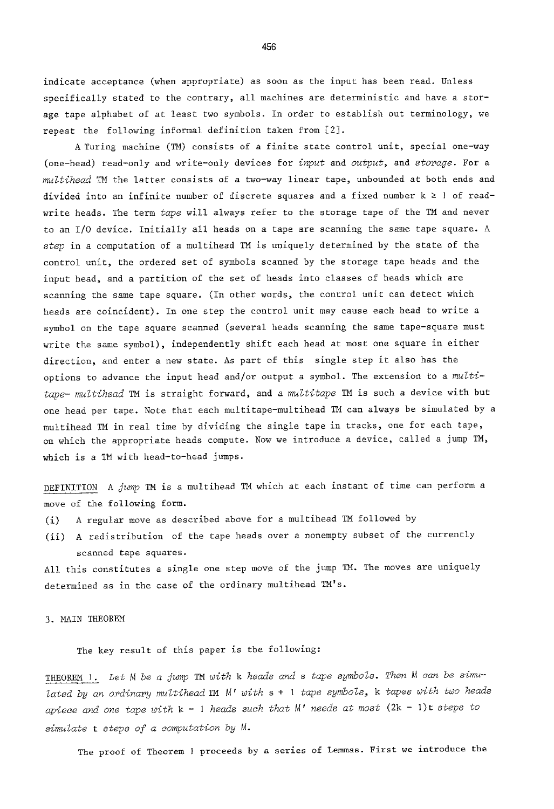indicate acceptance (when appropriate) as soon as the input has been read. Unless specifically stated to the contrary, all machines are deterministic and have a storage tape alphabet of at least two symbols. In order to establish out terminology, we repeat the following informal definition taken from [2].

A Turing machine (TM) consists of a finite state control unit, special one-way (one-head) read-only and write-only devices for *input* and *output,* and *storage.* For a *multihead* TM the latter consists of a two-way linear tape, unbounded at both ends and divided into an infinite number of discrete squares and a fixed number  $k \ge 1$  of readwrite heads. The term *tape* will always refer to the storage tape of the TM and never to an I/O device. Initially all heads on a tape are scanning the same tape square. A *step* in a computation of a multihead TM is uniquely determined by the state of the control unit, the ordered set of symbols scanned by the storage tape heads and the input head, and a partition of the set of heads into classes of heads which are scanning the same tape square. (In other words, the control unit can detect which heads are coincident). In one step the control unit may cause each head to write a symbol on the tape square scanned (several heads scanning the same tape-square must write the same symbol), independently shift each head at most one square in either direction, and enter a new state. As part of this single step it also has the options to advance the input head and/or output a symbol. The extension to a multi*tape- multihead* TM is straight forward, and a *multitape TM* is such a device with but one head per tape. Note that each multitape-multihead TM can always be simulated by a multihead TM in real time by dividing the single tape in tracks, one for each tape, on which the appropriate heads compute. Now we introduce a device, called a jump TM, which is a TM with head-to-head jumps.

DEFINITION A *jump* TM is a multihead TM which at each instant of time can perform a move of the following form.

- (i) A regular move as described above for a multihead TM followed by
- (ii) A redistribution of the tape heads over a nonempty subset of the currently scanned tape squares.

All this constitutes a single one step move of the jump TM. The moves are uniquely determined as in the case of the ordinary multihead TM's.

3. MAIN THEOREM

The key result of this paper is the following:

THEOREM 1. Let M be a jump TM with k heads and s tape symbols. Then M can be simu*lated by an ordinary multihead TM M' with s + I tape symbols, k tapes with two heads apiece and one tape with k - I heads such that M' needs at most* (2k - 1)t *steps to simulate t steps of a computation by M.* 

The proof of Theorem I proceeds by a series of Lemmas. First we introduce the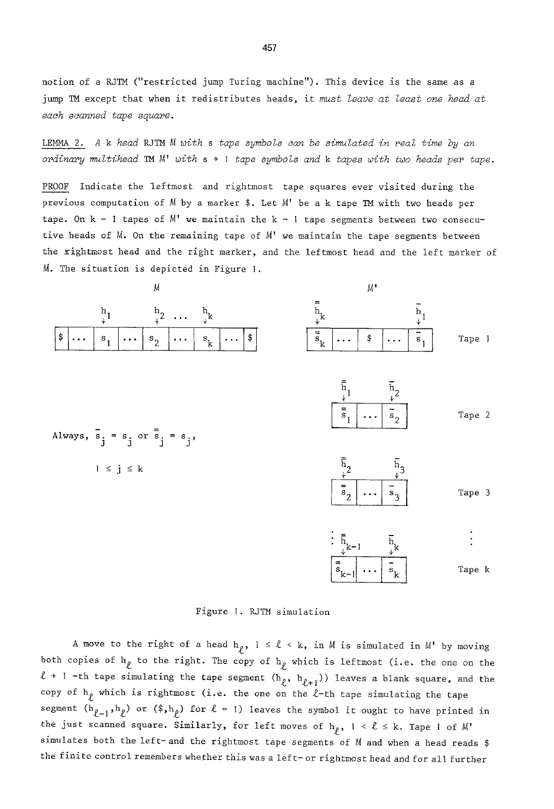notion of a RJTM ("restricted jump Turing machine"). This device is the same as a jump TM except that when it redistributes heads, it must *leave at least one head at each scanned tape square.* 

LEMMA 2. A k *head* RJTM *M with s tape symbols can be simulated in real time by an ordinary multihead TM A~' with s + I tape symbols and k tapes with two heads per tape.* 

PROOF Indicate the leftmost and rightmost tape squares ever visited during the previous computation of M by a marker \$. Let M' be a k tape TM with two heads per tape. On  $k - 1$  tapes of  $M'$  we maintain the  $k - 1$  tape segments between two consecutive heads of  $M$ . On the remaining tape of  $M'$  we maintain the tape segments between the rightmost head and the right marker, and the leftmost head and the left marker of M. The situation is depicted in Figure 1.



Figure I. RJTM simulation

A move to the right of a head  $h_\rho$ ,  $1 \le \ell \le k$ , in M is simulated in M' by moving both copies of  $h_{\ell}$  to the right. The copy of  $h_{\ell}$  which is leftmost (i.e. the one on the  $l + 1$  -th tape simulating the tape segment  $(h_{l}^{\sigma}, h_{l+1}^{\sigma})$  leaves a blank square, and the copy of  $h<sub>f</sub>$  which is rightmost (i.e. the one on the  $\ell$ -th tape simulating the tape segment  $(h_{\ell-1},h_{\ell})$  or  $(\hat{s},h_{\ell})$  for  $\ell = 1$ ) leaves the symbol it ought to have printed in the just scanned square. Similarly, for left moves of  $h_{\rho}$ ,  $1 \leq \ell \leq k$ . Tape 1 of  $M'$ simulates both the left- and the rightmost tape segments of M and when a head reads \$ the finite control remembers whether this was a left- or rightmost head and for all further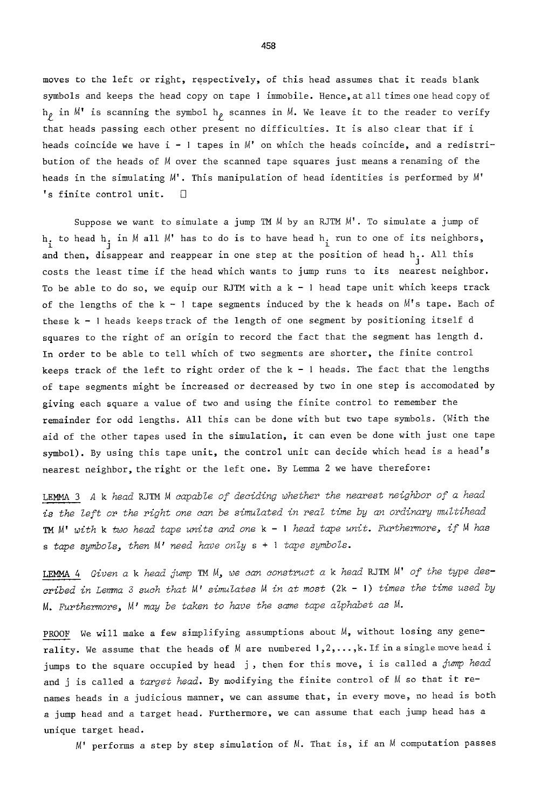moves to the left or right, respectively, of this head assumes that it reads blank symbols and keeps the head copy on tape I immobile. Hence,at all times one head copy of  $h_{\ell}$  in  $M'$  is scanning the symbol  $h_{\ell}$  scannes in  $M$ . We leave it to the reader to verify that heads passing each other present no difficulties. It is also clear that if i heads coincide we have  $i - 1$  tapes in  $M'$  on which the heads coincide, and a redistribution of the heads of M over the scanned tape squares just means a renaming of the heads in the simulating M'. This manipulation of head identities is performed by M' 's finite control unit.  $\square$ 

Suppose we want to simulate a jump TM M by an RJTM M'. To simulate a jump of  $h_i$  to head  $h_i$  in  $M$  all  $M'$  has to do is to have head  $h_i$  run to one of its neighbors, and then, disappear and reappear in one step at the position of head h. All this  $j$ costs the least time if the head which wants to jump runs to its nearest neighbor. To be able to do so, we equip our RJTM with  $a k - 1$  head tape unit which keeps track of the lengths of the  $k - 1$  tape segments induced by the k heads on  $M'$ s tape. Each of these k - l heads keeps track of the length of one segment by positioning itself d squares to the right of an origin to record the fact that the segment has length d. In order to be able to tell which of two segments are shorter, the finite control keeps track of the left to right order of the  $k - 1$  heads. The fact that the lengths of tape segments might be increased or decreased by two in one step is accomodated by giving each square a value of two and using the finite control to remember the remainder for odd lengths. All this can be done with but two tape symbols. (With the aid of the other tapes used in the simulation, it can even be done with just one tape symbol). By using this tape unit, the control unit can decide which head is a head's nearest neighbor, the right or the left one. By Lemma 2 we have therefore:

LEMMA 3 A k *head* RJTM *M capable of deciding whether the nearest neighbor of a head is the left or the right one can be simulated in real time by an ordinary multihead TM M' with k two head tape units and one k - l head tape unit. Furthermore, if M has s tape symbols, then M' need have only s + I tape symbols.* 

LEMMA 4 *Given a k head jump TM M, we can construct a k head* RJTM M' *of the type described in Lemma 3 such that M' simulates M in at most* (2k - l) *times the time used by M. Furthermore, M' may be taken to have the scone tape alphabet as M.* 

PROOF We will make a few simplifying assumptions about M, without losing any generality. We assume that the heads of  $M$  are numbered  $1, 2, \ldots, k$ . If in a single move head i jumps to the square occupied by head j, then for this move, i is called a jump head and j is called a target head. By modifying the finite control of M so that it renames heads in a judicious manner, we can assume that, in every move, no head is both a jump head and a target head. Furthermore, we can assume that each jump head has a unique target head.

M' performs a step by step simulation of M. That is, if an M computation passes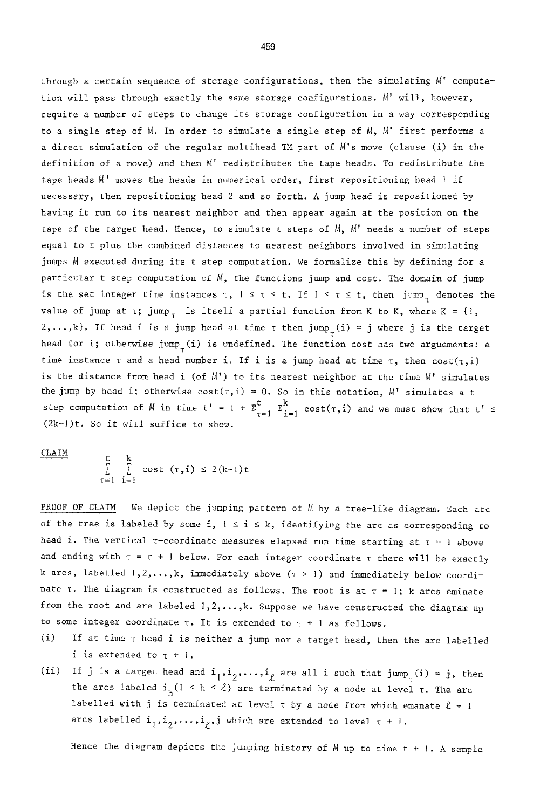through a certain sequence of storage configurations, then the simulating M' computation will pass through exactly the same storage configurations. M' will, however, require a number of steps to change its storage configuration in a way corresponding to a single step of  $M$ . In order to simulate a single step of  $M$ ,  $M'$  first performs a a direct simulation of the regular multihead TM part of M's move (clause (i) in the definition of a move) and then M' redistributes the tape heads. To redistribute the tape heads  $M'$  moves the heads in numerical order, first repositioning head  $\overline{l}$  if necessary, then repositioning head 2 and so forth. A jump head is repositioned by hsving it run to its nearest neighbor and then appear again at the position on the tape of the target head. Hence, to simulate t steps of  $M$ ,  $M'$  needs a number of steps equal to t plus the combined distances to nearest neighbors involved in simulating jumps M executed during its t step computation. We formalize this by defining for a particular t step computation of M, the functions jump and cost. The domain of jump is the set integer time instances  $\tau$ ,  $1 \leq \tau \leq t$ . If  $1 \leq \tau \leq t$ , then jump<sub>r</sub> denotes the value of jump at  $\tau$ ; jump<sub> $\tau$ </sub> is itself a partial function from K to K, where K = {1, 2,...,k}. If head i is a jump head at time  $\tau$  then jump<sub> $\tau$ </sub>(i) = j where j is the target head for i; otherwise jump<sub>r</sub>(i) is undefined. The function cost has two arguements: a time instance  $\tau$  and a head number i. If i is a jump head at time  $\tau$ , then  $cost(\tau, i)$ is the distance from head i (of  $M'$ ) to its nearest neighbor at the time  $M'$  simulates the jump by head i; otherwise  $cost(\tau, i) = 0$ . So in this notation, M' simulates a t step computation of M in time  $t' = t + \sum_{\tau=1}^{t} \sum_{i=1}^{k} cost(\tau, i)$  and we must show that  $t' \leq$ (2k-1)t. So it will suffice to show.

 $CLAIM$ 

$$
\sum_{\tau=1}^{L} \sum_{i=1}^{R} cost (\tau, i) \leq 2(k-1)t
$$

PROOF OF CLAIM We depict the jumping pattern of M by a tree-like diagram. Each arc of the tree is labeled by some i,  $1 \le i \le k$ , identifying the arc as corresponding to head i. The vertical  $\tau$ -coordinate measures elapsed run time starting at  $\tau = 1$  above and ending with  $\tau = t + 1$  below. For each integer coordinate  $\tau$  there will be exactly k arcs, labelled  $1, 2, ..., k$ , immediately above  $(\tau > 1)$  and immediately below coordinate  $\tau$ . The diagram is constructed as follows. The root is at  $\tau = i$ ; k arcs eminate from the root and are labeled  $1,2,\ldots,k$ . Suppose we have constructed the diagram up to some integer coordinate  $\tau$ . It is extended to  $\tau + 1$  as follows.

- (i) If at time  $\tau$  head i is neither a jump nor a target head, then the arc labelled i is extended to  $\tau + 1$ .
- (ii) If j is a target head and  $i_1,i_2,\ldots,i_\ell$  are all i such that jump<sub>T</sub>(i) = j, then the arcs labeled  $i_h(1 \le h \le \ell)$  are terminated by a node at level  $\tau$ . The arc labelled with j is terminated at level  $\tau$  by a node from which emanate  $\ell + 1$ arcs labelled  $i_1,i_2,\ldots,i_p,j$  which are extended to level  $\tau$  + I.

Hence the diagram depicts the jumping history of M up to time t + I. A sample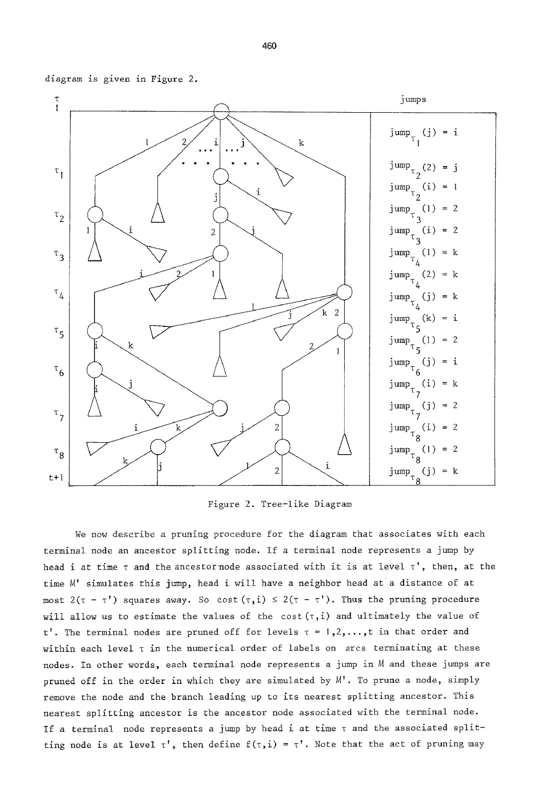diagram is given in Figure 2.



Figure 2. Tree-like Diagram

We now describe a pruning procedure for the diagram that associates with each terminal node an ancestor splitting node. If a terminal node represents a jump by head i at time  $\tau$  and the ancestor node associated with it is at level  $\tau'$ , then, at the time M' simulates this jump, head i will have a neighbor head at a distance of at most  $2(\tau - \tau')$  squares away. So cost  $(\tau, i) \leq 2(\tau - \tau')$ . Thus the pruning procedure will allow us to estimate the values of the cost  $(\tau, i)$  and ultimately the value of t'. The terminal nodes are pruned off for levels  $\tau = 1, 2, \ldots, t$  in that order and within each level  $\tau$  in the numerical order of labels on arcs terminating at these nodes. In other words, each terminal node represents a jump in M and these jumps are pruned off in the order in which they are simulated by M'. To prune a node, simply remove the node and the branch leading up to its nearest splitting ancestor. This nearest splitting ancestor is the ancestor node associated with the terminal node. If a terminal node represents a jump by head i at time  $\tau$  and the associated splitting node is at level  $\tau'$ , then define  $f(\tau,i) = \tau'$ . Note that the act of pruning may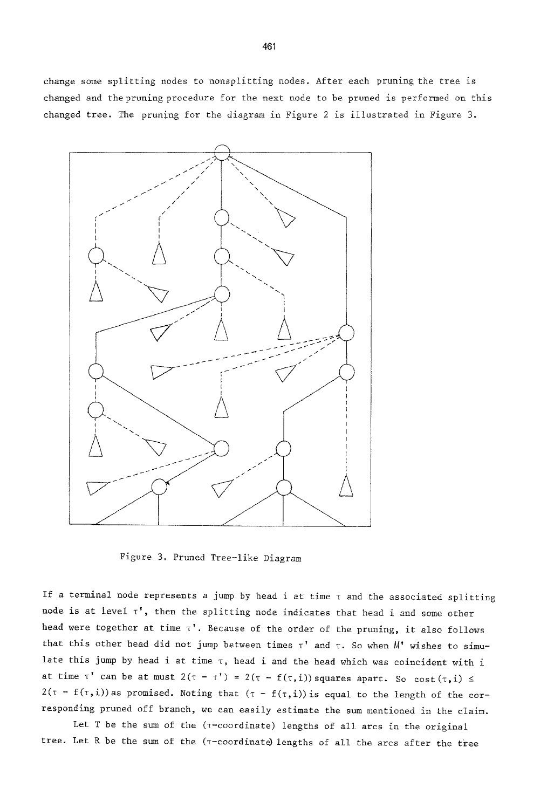change some splitting nodes to nonsplitting nodes. After each pruning the tree is changed and the pruning procedure for the next node to be pruned is performed on this changed tree. The pruning for the diagram in Figure 2 is illustrated in Figure 3.



Figure 3. Pruned Tree-like Diagram

If a terminal node represents a jump by head i at time  $\tau$  and the associated splitting node is at level  $\tau'$ , then the splitting node indicates that head i and some other head were together at time  $\tau'$ . Because of the order of the pruning, it also follows that this other head did not jump between times  $\tau'$  and  $\tau$ . So when  $M'$  wishes to simulate this jump by head i at time  $\tau$ , head i and the head which was coincident with i at time  $\tau'$  can be at must  $2(\tau - \tau') = 2(\tau - f(\tau, i))$  squares apart. So cost $(\tau, i)$  $2(\tau - f(\tau, i))$  as promised. Noting that  $(\tau - f(\tau, i))$  is equal to the length of the corresponding pruned off branch, we can easily estimate the sum mentioned in the claim.

Let T be the sum of the ( $\tau$ -coordinate) lengths of all arcs in the original tree. Let R be the sum of the  $($ T-coordinate) lengths of all the arcs after the tree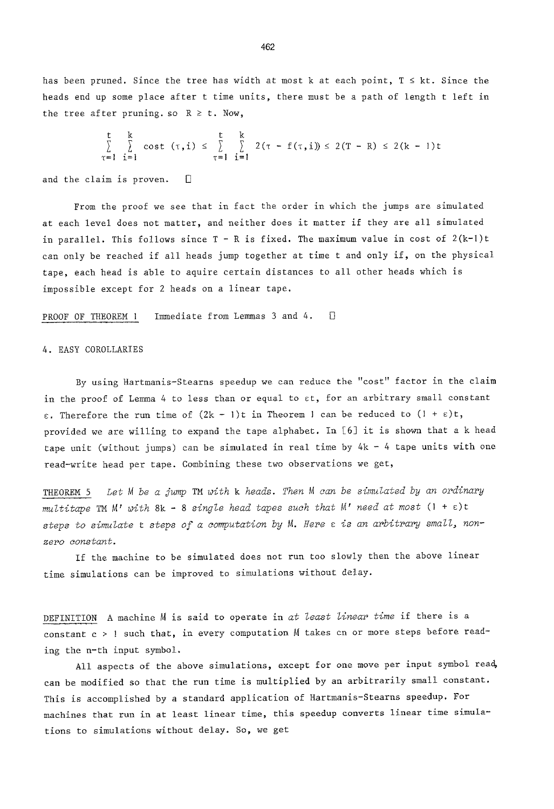has been pruned. Since the tree has width at most k at each point,  $T \leq kt$ . Since the heads end up some place after t time units, there must be a path of length t left in the tree after pruning. so  $R \geq t$ . Now,

$$
\sum_{\tau=1}^{t} \sum_{i=1}^{k} cost (\tau, i) \leq \sum_{\tau=1}^{t} \sum_{i=1}^{k} 2(\tau - f(\tau, i)) \leq 2(T - R) \leq 2(k - 1)t
$$

and the claim is proven.  $\Box$ 

From the proof we see that in fact the order in which the jumps are simulated at each level does not matter, and neither does it matter if they are all simulated in parallel. This follows since  $T - R$  is fixed. The maximum value in cost of  $2(k-1)t$ can only be reached if all heads jump together at time t and only if, on the physical tape, each head is able to aquire certain distances to all other heads which is impossible except for 2 heads on a linear tape.

PROOF OF THEOREM 1 Immediate from Lemmas 3 and 4.  $\Box$ 

#### 4. EASY COROLLARIES

By using Hartmanis-Stearns speedup we can reduce the "cost" factor in the claim in the proof of Lemma 4 to less than or equal to st, for an arbitrary small constant  $\varepsilon$ . Therefore the run time of  $(2k - 1)t$  in Theorem 1 can be reduced to  $(1 + \varepsilon)t$ , provided we are willing to expand the tape alphabet. In [6] it is shown that a k head tape unit (without jumps) can be simulated in real time by  $4k - 4$  tape units with one read-write head per tape. Combining these two observations we get,

THEOREM 5 *Let M be a jump* TM *with k heads. Then M can be simulated by an ordinary multitape TM M' with* 8k - 8 *single head tapes such that M' need at most* (I + E)t steps to simulate t steps of a computation by M. Here *c* is an arbitrary small, non*zero constant.* 

If the machine to be simulated does not run too slowly then the above linear time simulations can be improved to simulations without delay.

DEFINITION A machine M is said to operate in *at least linear time* if there is a constant c > ! such that, in every computation M takes cn or more steps before reading the n-th input symbol.

All aspects of the above simulations, except for one move per input symbol read, can be modified so that the run time is multiplied by an arbitrarily small constant. This is accomplished by a standard application of Hartmanis-Stearns speedup. For machines that run in at least linear time, this speedup converts linear time simulations to simulations without delay. So, we get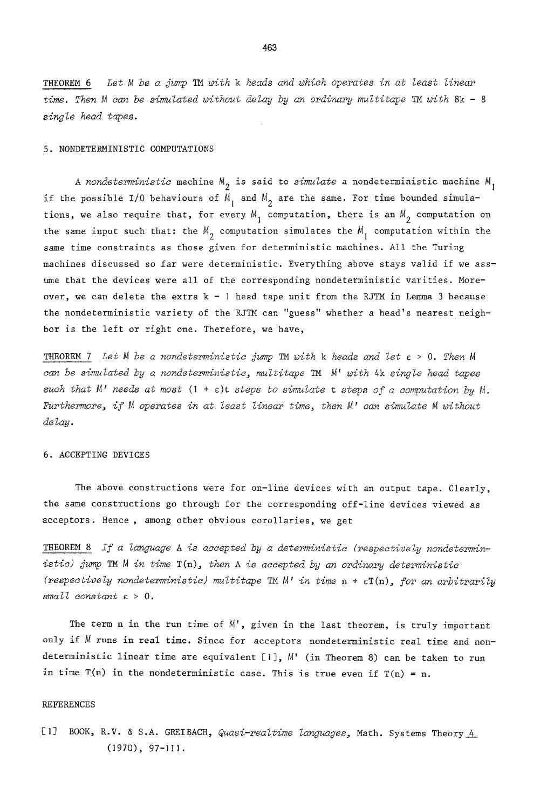THEOREM 6 *Let M be a jump TM with k heads and which operates in at least linear time. Then M can be simulated without delay by an ordinary multitape TM with* 8k - 8 *single head tapes.* 

#### 5. NONDETERMINISTIC COMPUTATIONS

A nondeterministic machine  $M_2$  is said to *simulate* a nondeterministic machine  $M_1$ if the possible I/O behaviours of  $M_1$  and  $M_2$  are the same. For time bounded simulations, we also require that, for every  $M_1$  computation, there is an  $M_2$  computation on the same input such that: the  $M_{2}$  computation simulates the  $M_{1}$  computation within the same time constraints as those given for deterministic machines. All the Turing machines discussed so far were deterministic. Everything above stays valid if we assume that the devices were all of the corresponding nondeterministic varities. Moreover, we can delete the extra  $k - 1$  head tape unit from the RJTM in Lemma 3 because the nondeterministic variety of the RJTM can "guess" whether a head's nearest neighbor is the left or right one. Therefore, we have,

THEOREM 7 *Let M be a nondeterministic jump TM with k heads and let e > O. Then M can be simulated by a nondeterministic, multit~pe TM M' with* 4k *single head tapes such that M' needs at most* (l + s)t *steps to simulate t steps of a computation by M. Furthermore, if M operates in at least linear time, then M' can simulate M without delay.* 

## 6. ACCEPTING DEVICES

The above constructions were for on-line devices with an output tape. Clearly, the same constructions go through for the corresponding off-line devices viewed as acceptors. Hence , among other obvious corollaries, we get

THEOREM 8 *If a language A is accepted by a deterministic (respectively nondeterministic) jump TM M in time* T(n), *then A is accepted by an ordinary deterministic (respectively nondeterministic) multitape TMM' in time* n + sT(n), *for an arbitrarily small constant c > O.* 

The term n in the run time of  $M'$ , given in the last theorem, is truly important only if M runs in real time. Since for acceptors nondeterministic real time and nondeterministic linear time are equivalent [1],  $M'$  (in Theorem 8) can be taken to run in time  $T(n)$  in the nondeterministic case. This is true even if  $T(n) = n$ .

#### REFERENCES

[1] BOOK, R.V. & S.A. GREIBACH, *Quasi-realtime languages*, Math. Systems Theory 4 (1970), 97-III.